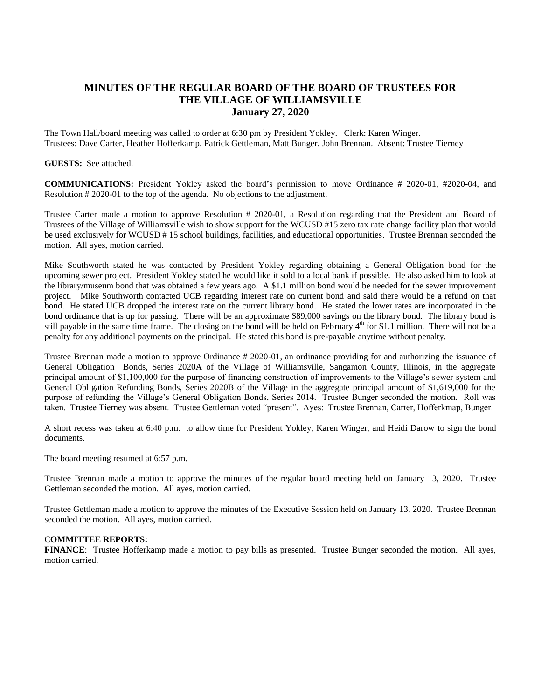## **MINUTES OF THE REGULAR BOARD OF THE BOARD OF TRUSTEES FOR THE VILLAGE OF WILLIAMSVILLE January 27, 2020**

The Town Hall/board meeting was called to order at 6:30 pm by President Yokley. Clerk: Karen Winger. Trustees: Dave Carter, Heather Hofferkamp, Patrick Gettleman, Matt Bunger, John Brennan. Absent: Trustee Tierney

## **GUESTS:** See attached.

**COMMUNICATIONS:** President Yokley asked the board's permission to move Ordinance # 2020-01, #2020-04, and Resolution # 2020-01 to the top of the agenda. No objections to the adjustment.

Trustee Carter made a motion to approve Resolution # 2020-01, a Resolution regarding that the President and Board of Trustees of the Village of Williamsville wish to show support for the WCUSD #15 zero tax rate change facility plan that would be used exclusively for WCUSD # 15 school buildings, facilities, and educational opportunities. Trustee Brennan seconded the motion. All ayes, motion carried.

Mike Southworth stated he was contacted by President Yokley regarding obtaining a General Obligation bond for the upcoming sewer project. President Yokley stated he would like it sold to a local bank if possible. He also asked him to look at the library/museum bond that was obtained a few years ago. A \$1.1 million bond would be needed for the sewer improvement project. Mike Southworth contacted UCB regarding interest rate on current bond and said there would be a refund on that bond. He stated UCB dropped the interest rate on the current library bond. He stated the lower rates are incorporated in the bond ordinance that is up for passing. There will be an approximate \$89,000 savings on the library bond. The library bond is still payable in the same time frame. The closing on the bond will be held on February  $4<sup>th</sup>$  for \$1.1 million. There will not be a penalty for any additional payments on the principal. He stated this bond is pre-payable anytime without penalty.

Trustee Brennan made a motion to approve Ordinance # 2020-01, an ordinance providing for and authorizing the issuance of General Obligation Bonds, Series 2020A of the Village of Williamsville, Sangamon County, Illinois, in the aggregate principal amount of \$1,100,000 for the purpose of financing construction of improvements to the Village's sewer system and General Obligation Refunding Bonds, Series 2020B of the Village in the aggregate principal amount of \$1,619,000 for the purpose of refunding the Village's General Obligation Bonds, Series 2014. Trustee Bunger seconded the motion. Roll was taken. Trustee Tierney was absent. Trustee Gettleman voted "present". Ayes: Trustee Brennan, Carter, Hofferkmap, Bunger.

A short recess was taken at 6:40 p.m. to allow time for President Yokley, Karen Winger, and Heidi Darow to sign the bond documents.

The board meeting resumed at 6:57 p.m.

Trustee Brennan made a motion to approve the minutes of the regular board meeting held on January 13, 2020. Trustee Gettleman seconded the motion. All ayes, motion carried.

Trustee Gettleman made a motion to approve the minutes of the Executive Session held on January 13, 2020. Trustee Brennan seconded the motion. All ayes, motion carried.

## C**OMMITTEE REPORTS:**

**FINANCE**: Trustee Hofferkamp made a motion to pay bills as presented. Trustee Bunger seconded the motion. All ayes, motion carried.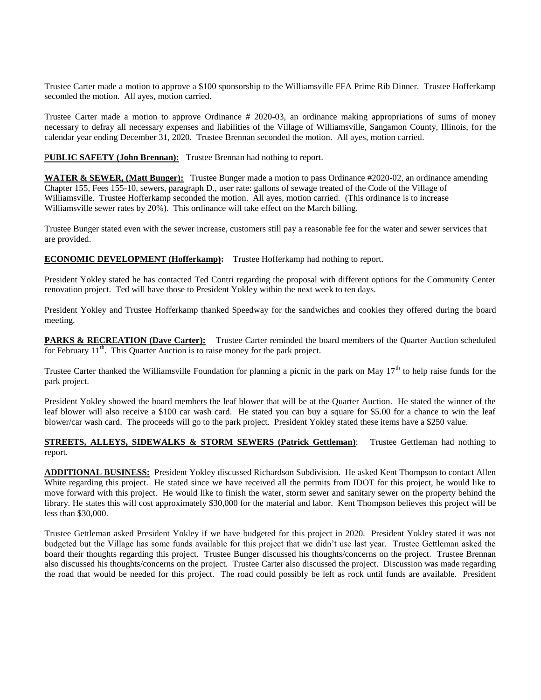Trustee Carter made a motion to approve a \$100 sponsorship to the Williamsville FFA Prime Rib Dinner. Trustee Hofferkamp seconded the motion. All ayes, motion carried.

Trustee Carter made a motion to approve Ordinance # 2020-03, an ordinance making appropriations of sums of money necessary to defray all necessary expenses and liabilities of the Village of Williamsville, Sangamon County, Illinois, for the calendar year ending December 31, 2020. Trustee Brennan seconded the motion. All ayes, motion carried.

PUBLIC SAFETY (John Brennan): Trustee Brennan had nothing to report.

**WATER & SEWER, (Matt Bunger):** Trustee Bunger made a motion to pass Ordinance #2020-02, an ordinance amending Chapter 155, Fees 155-10, sewers, paragraph D., user rate: gallons of sewage treated of the Code of the Village of Williamsville. Trustee Hofferkamp seconded the motion. All ayes, motion carried. (This ordinance is to increase Williamsville sewer rates by 20%). This ordinance will take effect on the March billing.

Trustee Bunger stated even with the sewer increase, customers still pay a reasonable fee for the water and sewer services that are provided.

**ECONOMIC DEVELOPMENT (Hofferkamp):** Trustee Hofferkamp had nothing to report.

President Yokley stated he has contacted Ted Contri regarding the proposal with different options for the Community Center renovation project. Ted will have those to President Yokley within the next week to ten days.

President Yokley and Trustee Hofferkamp thanked Speedway for the sandwiches and cookies they offered during the board meeting.

**PARKS & RECREATION (Dave Carter):** Trustee Carter reminded the board members of the Quarter Auction scheduled for February  $11<sup>th</sup>$ . This Quarter Auction is to raise money for the park project.

Trustee Carter thanked the Williamsville Foundation for planning a picnic in the park on May  $17<sup>th</sup>$  to help raise funds for the park project.

President Yokley showed the board members the leaf blower that will be at the Quarter Auction. He stated the winner of the leaf blower will also receive a \$100 car wash card. He stated you can buy a square for \$5.00 for a chance to win the leaf blower/car wash card. The proceeds will go to the park project. President Yokley stated these items have a \$250 value.

## **STREETS, ALLEYS, SIDEWALKS & STORM SEWERS (Patrick Gettleman):** Trustee Gettleman had nothing to report.

**ADDITIONAL BUSINESS:** President Yokley discussed Richardson Subdivision. He asked Kent Thompson to contact Allen White regarding this project. He stated since we have received all the permits from IDOT for this project, he would like to move forward with this project. He would like to finish the water, storm sewer and sanitary sewer on the property behind the library. He states this will cost approximately \$30,000 for the material and labor. Kent Thompson believes this project will be less than \$30,000.

Trustee Gettleman asked President Yokley if we have budgeted for this project in 2020. President Yokley stated it was not budgeted but the Village has some funds available for this project that we didn't use last year. Trustee Gettleman asked the board their thoughts regarding this project. Trustee Bunger discussed his thoughts/concerns on the project. Trustee Brennan also discussed his thoughts/concerns on the project. Trustee Carter also discussed the project. Discussion was made regarding the road that would be needed for this project. The road could possibly be left as rock until funds are available. President